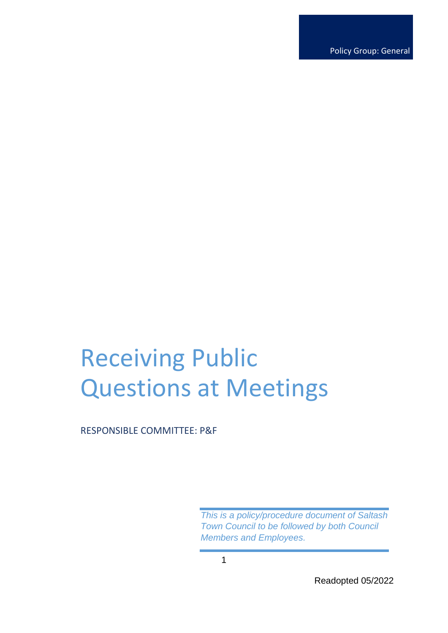Policy Group: General

# Receiving Public Questions at Meetings

RESPONSIBLE COMMITTEE: P&F

*This is a policy/procedure document of Saltash Town Council to be followed by both Council Members and Employees.*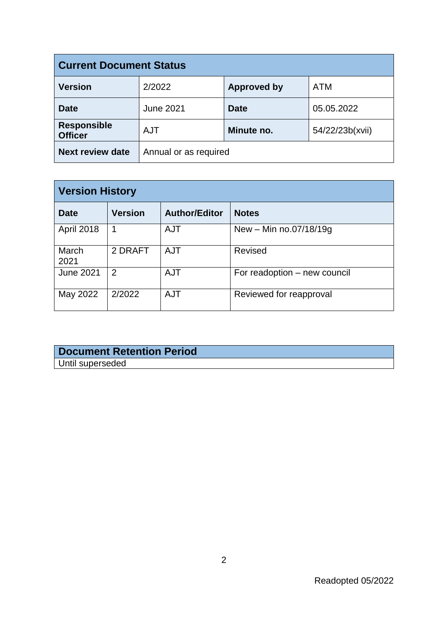| <b>Current Document Status</b>       |                       |                    |                 |  |
|--------------------------------------|-----------------------|--------------------|-----------------|--|
| <b>Version</b>                       | 2/2022                | <b>Approved by</b> | <b>ATM</b>      |  |
| <b>Date</b>                          | <b>June 2021</b>      | <b>Date</b>        | 05.05.2022      |  |
| <b>Responsible</b><br><b>Officer</b> | <b>AJT</b>            | Minute no.         | 54/22/23b(xvii) |  |
| <b>Next review date</b>              | Annual or as required |                    |                 |  |

| <b>Version History</b> |                |                      |                              |  |
|------------------------|----------------|----------------------|------------------------------|--|
| <b>Date</b>            | <b>Version</b> | <b>Author/Editor</b> | <b>Notes</b>                 |  |
| April 2018             |                | <b>AJT</b>           | New - Min no.07/18/19g       |  |
| March<br>2021          | 2 DRAFT        | <b>AJT</b>           | <b>Revised</b>               |  |
| <b>June 2021</b>       | 2              | <b>AJT</b>           | For readoption – new council |  |
| May 2022               | 2/2022         | <b>AJT</b>           | Reviewed for reapproval      |  |

### **Document Retention Period** Until superseded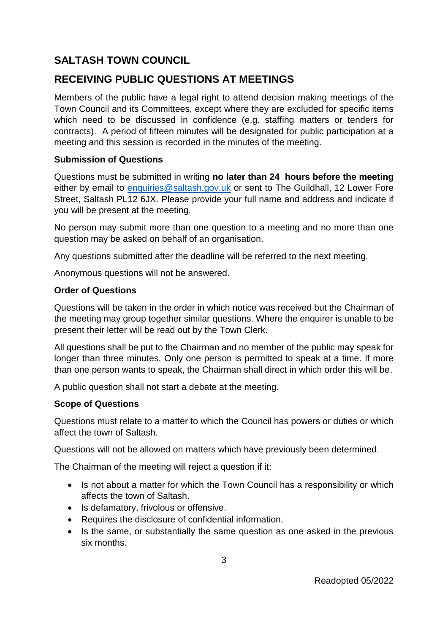## **SALTASH TOWN COUNCIL**

## **RECEIVING PUBLIC QUESTIONS AT MEETINGS**

Members of the public have a legal right to attend decision making meetings of the Town Council and its Committees, except where they are excluded for specific items which need to be discussed in confidence (e.g. staffing matters or tenders for contracts). A period of fifteen minutes will be designated for public participation at a meeting and this session is recorded in the minutes of the meeting.

#### **Submission of Questions**

Questions must be submitted in writing **no later than 24 hours before the meeting** either by email to [enquiries@saltash.gov.uk](mailto:enquiries@saltash.gov.uk) or sent to The Guildhall, 12 Lower Fore Street, Saltash PL12 6JX. Please provide your full name and address and indicate if you will be present at the meeting.

No person may submit more than one question to a meeting and no more than one question may be asked on behalf of an organisation.

Any questions submitted after the deadline will be referred to the next meeting.

Anonymous questions will not be answered.

#### **Order of Questions**

Questions will be taken in the order in which notice was received but the Chairman of the meeting may group together similar questions. Where the enquirer is unable to be present their letter will be read out by the Town Clerk.

All questions shall be put to the Chairman and no member of the public may speak for longer than three minutes. Only one person is permitted to speak at a time. If more than one person wants to speak, the Chairman shall direct in which order this will be.

A public question shall not start a debate at the meeting.

#### **Scope of Questions**

Questions must relate to a matter to which the Council has powers or duties or which affect the town of Saltash.

Questions will not be allowed on matters which have previously been determined.

The Chairman of the meeting will reject a question if it:

- Is not about a matter for which the Town Council has a responsibility or which affects the town of Saltash.
- Is defamatory, frivolous or offensive.
- Requires the disclosure of confidential information.
- Is the same, or substantially the same question as one asked in the previous six months.